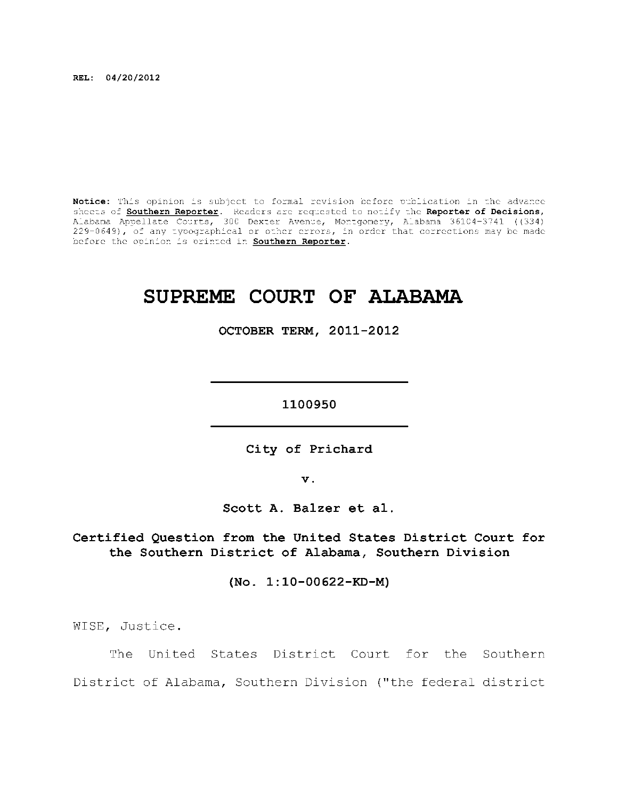**REL: 04/20/2012** 

Notice: This opinion is subject to formal revision before publication in the advance sheets of <u>Southern Reporter</u>. Readers are requested to notify the Reporter of Decisions, Alabama Appellate Courts, 300 Dexter Avenue, Montgomery, Alabama 36104-3741 ((334) | 229-0649), of any typographical or other errors, in order that corrections may be made before the opinion is printed in **Southern Reporter**.

# **SUPREME COURT OF ALABAMA**

**OCTOBER TERM, 2011-2012** 

**1100950** 

City of Prichard

**v.** 

**Scott A. Balzer et al.** 

**Certified Question from the United States District Court for** the Southern District of Alabama, Southern Division

**(No. 1:10-00622-KD-M)** 

WISE, Justice .

The United States District Court for the Southern District of Alabama, Southern Division ("the federal district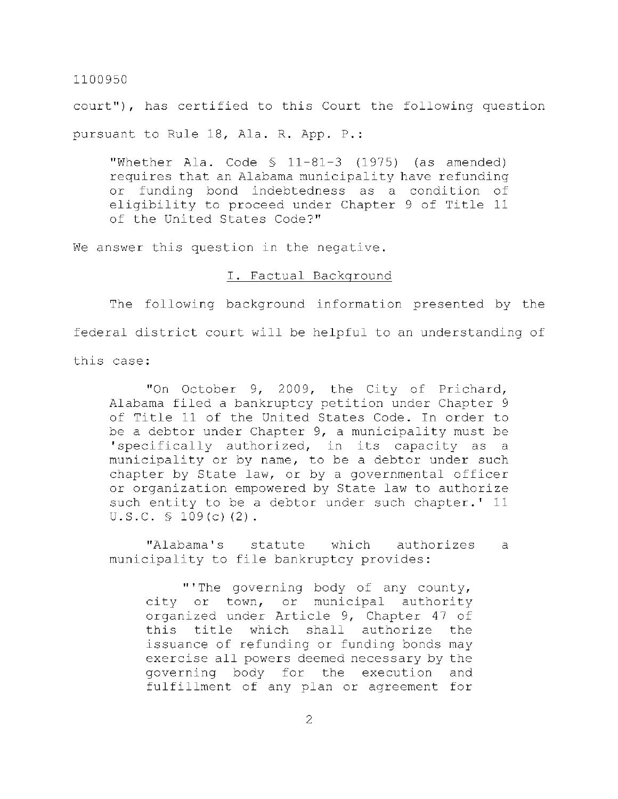court"), has certified to this Court the following question pursuant to Rule 18, Ala. R. App. P.:

"Whether Ala. Code  $\frac{11-81-3}{1975}$  (as amended) requires that an Alabama municipality have refunding or funding bond indebtedness as a condition of eligibility to proceed under Chapter 9 of Title 11 of the United States Code?"

We answer this question in the negative.

#### I. Factual Background

The following background information presented by the federal district court will be helpful to an understanding of this case:

"On October 9, 2009, the City of Prichard, Alabama filed a bankruptcy petition under Chapter 9 of Title 11 of the United States Code. In order to be a debtor under Chapter  $9$ , a municipality must be 'specifically authorized, in its capacity as a municipality or by name, to be a debtor under such chapter by State law, or by a governmental officer or organization empowered by State law to authorize such entity to be a debtor under such chapter.' 11 U.S.C. § 109(c) (2) .

"Alabama's statute which authorizes a municipality to file bankruptcy provides:

"'The governing body of any county, city or town, or municipal authority organized under Article 9, Chapter 47 of this title which shall authorize the issuance of refunding or funding bonds may exercise all powers deemed necessary by the governing body for the execution and fulfillment of any plan or agreement for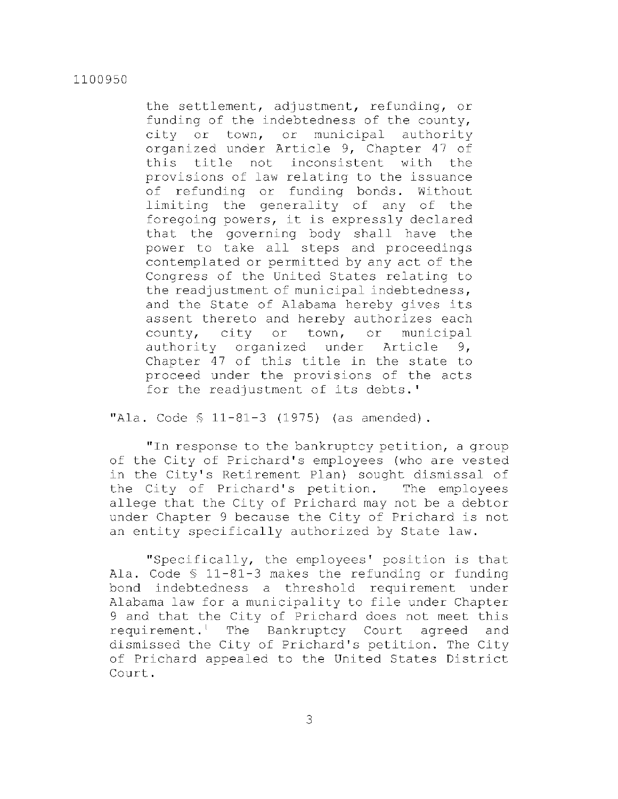the settlement, adjustment, refunding, or funding of the indebtedness of the county, city or town, or municipal authority organized under Article 9, Chapter 47 of this title not inconsistent with the provisions of law relating to the issuance of refunding or funding bonds. Without limiting the generality of any of the foregoing powers, it is expressly declared that the governing body shall have the power to take all steps and proceedings contemplated or permitted by any act of the Congress of the United States relating to the readjustment of municipal indebtedness, and the State of Alabama hereby gives its assent thereto and hereby authorizes each  $county, city or town, or municipal$ authority organized under Article 9, Chapter 47 of this title in the state to proceed under the provisions of the acts for the readjustment of its debts.'

"Ala. Code  $$ 11-81-3 (1975)$  (as amended).

" In response to the bankruptcy petition, a group of the City of Prichard's employees (who are vested in the City's Retirement Plan) sought dismissal of the City of Prichard's petition. The employees allege that the City of Prichard may not be a debtor under Chapter 9 because the City of Prichard is not an entity specifically authorized by State law.

"Specifically, the employees' position is that Ala. Code  $$11-81-3$  makes the refunding or funding bond indebtedness a threshold requirement under Alabama law for a municipality to file under Chapter 9 and that the City of Prichard does not meet this requirement.<sup>1</sup> The Bankruptcy Court agreed and dismissed the City of Prichard's petition. The City of Prichard appealed to the United States District Court .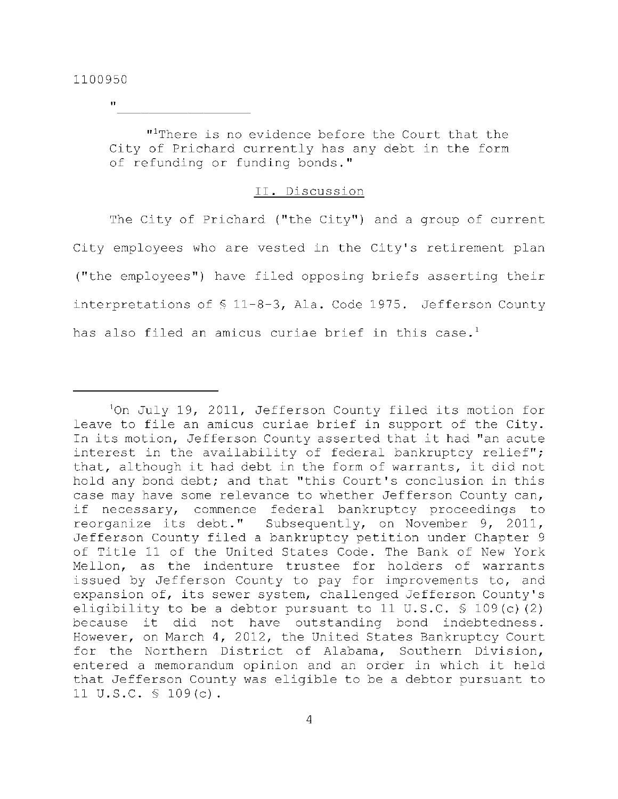**II** 

"Ihere is no evidence before the Court that the City of Prichard currently has any debt in the form of refunding or funding bonds."

## II. Discussion

The City of Prichard ("the City") and a group of current City employees who are vested in the City's retirement plan ("the employees") have filed opposing briefs asserting their interpretations of  $$11-8-3$ , Ala. Code 1975. Jefferson County has also filed an amicus curiae brief in this case.<sup>1</sup>

interest in the availability of federal bankruptcy relief";  $10n$  July 19, 2011, Jefferson County filed its motion for leave to file an amicus curiae brief in support of the City. In its motion, Jefferson County asserted that it had "an acute that, although it had debt in the form of warrants, it did not hold any bond debt; and that "this Court's conclusion in this case may have some relevance to whether Jefferson County can, if necessary, commence federal bankruptcy proceedings to reorganize its debt." Subsequently, on November 9, 2011, Jefferson County filed a bankruptcy petition under Chapter 9 of Title 11 of the United States Code. The Bank of New York Mellon, as the indenture trustee for holders of warrants issued by Jefferson County to pay for improvements to, and expansion of, its sewer system, challenged Jefferson County's eligibility to be a debtor pursuant to 11 U.S.C.  $\frac{109(c)}{2}$ because it did not have outstanding bond indebtedness. However, on March 4, 2012, the United States Bankruptcy Court for the Northern District of Alabama, Southern Division, entered a memorandum opinion and an order in which it held that Jefferson County was eligible to be a debtor pursuant to 11 U.S.C. § 109(c) .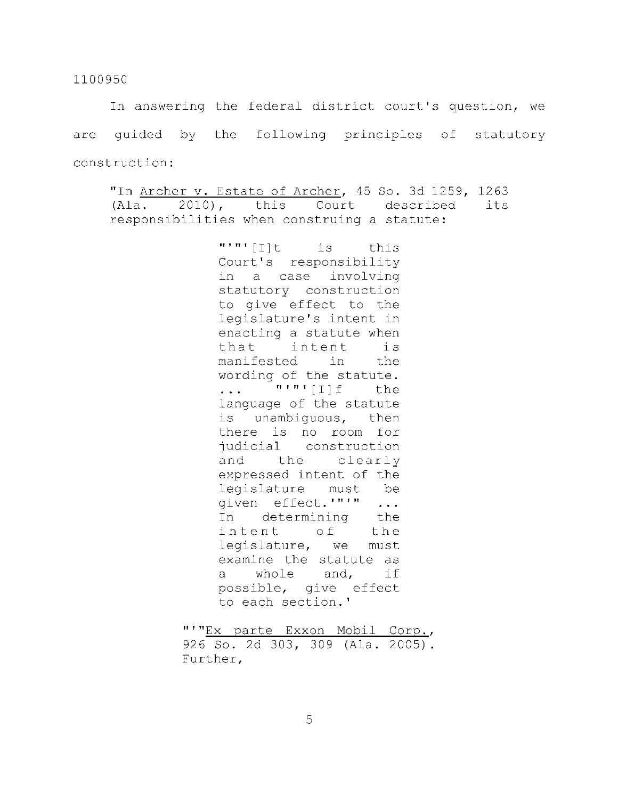In answering the federal district court's question, we are quided by the following principles of statutory construction :

"In Archer v. Estate of Archer, 45 So. 3d 1259, 1263  $(Ala. 2010)$ , this Court described its responsibilities when construing a statute:

> $"'''''$ [I]t is this Court's responsibility in a case involving statutory construction to give effect to the legislature's intent in enacting a statute when that intent is manifested in the wording of the statute.  $\ldots$  "'"'[I] f the language of the statute is unambiquous, then there is no room for judicial construction and the clearly expressed intent of the legislature must be given effect.'"'" ... In determining the intent of the legislature, we must examine the statute as a whole and, if possible, give effect to each section.'

"'"Ex parte Exxon Mobil Corp., 926 So. 2d 303, 309 (Ala. 2005). Further ,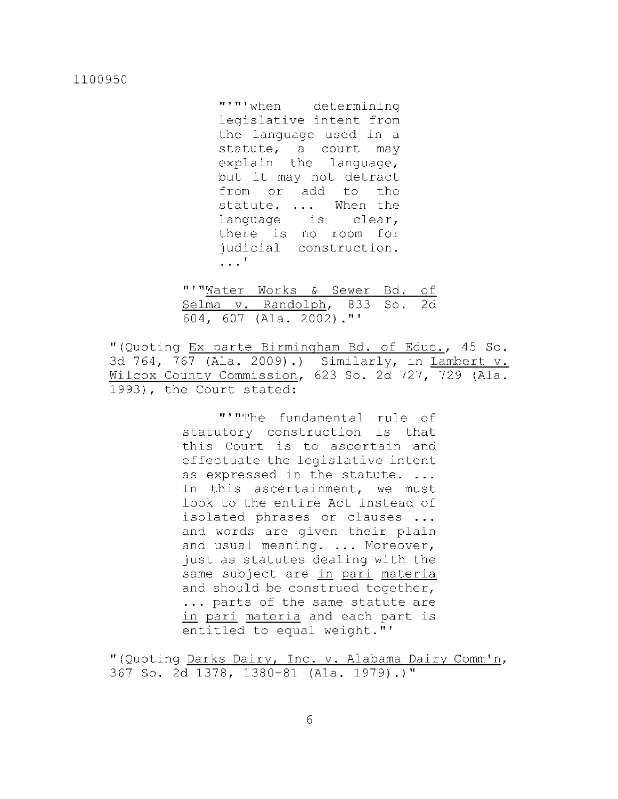"'"'when determining legislative intent from the language used in a statute, a court may  $explain$  the language, but it may not detract from or add to the statute. ... When the language is clear, there is no room for judicial construction.  $\cdot$   $\cdot$ <sup>1</sup>

"'"Water Works & Sewer Bd. of Selma v. Randolph, 833 So. 2d 604, 607 (Ala. 2002)."'

"(Quoting Ex parte Birmingham Bd. of Educ., 45 So. 3d 764, 767 (Ala. 2009).) Similarly, in Lambert v. Wilcox County Commission, 623 So. 2d 727, 729 (Ala. 1993), the Court stated:

> "'"The fundamental rule of statutory construction is that this Court is to ascertain and effectuate the legislative intent as expressed in the statute. ... In this ascertainment, we must look to the entire Act instead of isolated phrases or clauses ... and words are given their plain and usual meaning. ... Moreover, just as statutes dealing with the same subject are in pari materia and should be construed together, ... parts of the same statute are in pari materia and each part is entitled to equal weight."'

"(Quoting Darks Dairy, Inc. v. Alabama Dairy Comm'n, 367 So. 2d 1378, 1380-81 (Ala. 1979).)"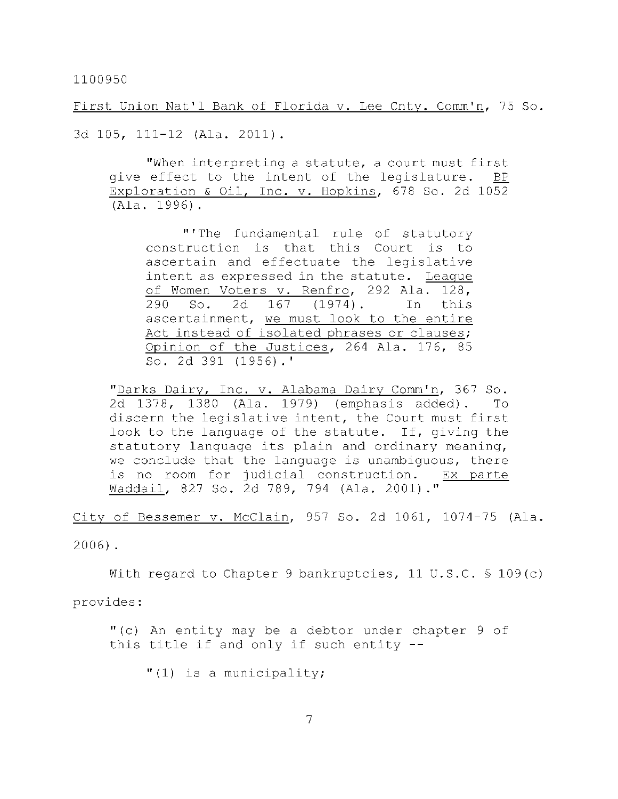First Union Nat'l Bank of Florida v. Lee Cnty. Comm'n, 75 So.

3d 105, 111-12 (Ala. 2011).

"When interpreting a statute, a court must first give effect to the intent of the legislature. BP Exploration & Oil, Inc. v. Hopkins, 678 So. 2d 1052 (Ala . 1996).

"'The fundamental rule of statutory construction is that this Court is to ascertain and effectuate the legislative intent as expressed in the statute. League of Women Voters v. Renfro, 292 Ala. 128, 290 So. 2d 167 (1974). In this ascertainment, we must look to the entire Act instead of isolated phrases or clauses; Opinion of the Justices, 264 Ala. 176, 85 So. 2d 391 (1956). '

"Darks Dairy, Inc. v. Alabama Dairy Comm'n, 367 So. 2d 1378, 1380 (Ala. 1979) (emphasis added). To discern the legislative intent, the Court must first look to the language of the statute. If, giving the statutory language its plain and ordinary meaning, we conclude that the language is unambiguous, there is no room for judicial construction. Ex parte Waddail, 827 So. 2d 789, 794 (Ala. 2001)."

City of Bessemer v. McClain, 957 So. 2d 1061, 1074-75 (Ala.

2006).

With regard to Chapter 9 bankruptcies, 11 U.S.C.  $\frac{109(c)}{c}$ 

provides :

"(c) An entity may be a debtor under chapter  $9$  of this title if and only if such entity  $-$ -

 $" (1)$  is a municipality;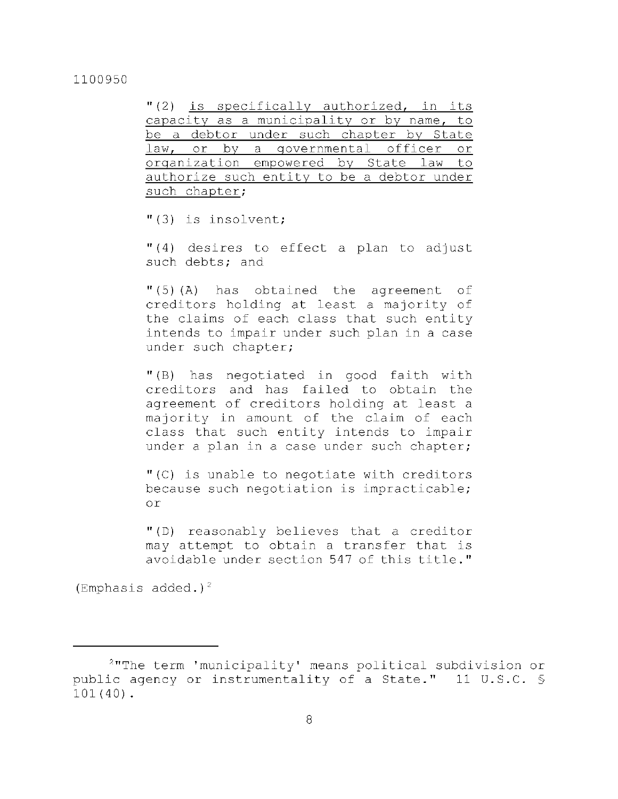$''(2)$  is specifically authorized, in its capacity as a municipality or by name, to be a debtor under such chapter by State law, or by a governmental officer or organization empowered by State law to authorize such entity to be a debtor under such chapter;

 $"$ (3) is insolvent;

 $''(4)$  desires to effect a plan to adjust such debts; and

 $"$ (5)(A) has obtained the agreement of creditors holding at least a majority of the claims of each class that such entity intends to impair under such plan in a case under such chapter;

"(B) has negotiated in good faith with creditors and has failed to obtain the agreement of creditors holding at least a majority in amount of the claim of each class that such entity intends to impair under a plan in a case under such chapter;

 $"$  (C) is unable to negotiate with creditors because such negotiation is impracticable; o r

"(D) reasonably believes that a creditor may attempt to obtain a transfer that is avoidable under section 547 of this title."

(Emphasis added.)<sup>2</sup>

 $2$ "The term 'municipality' means political subdivision or public agency or instrumentality of a State." 11 U.S.C. § 101(40) .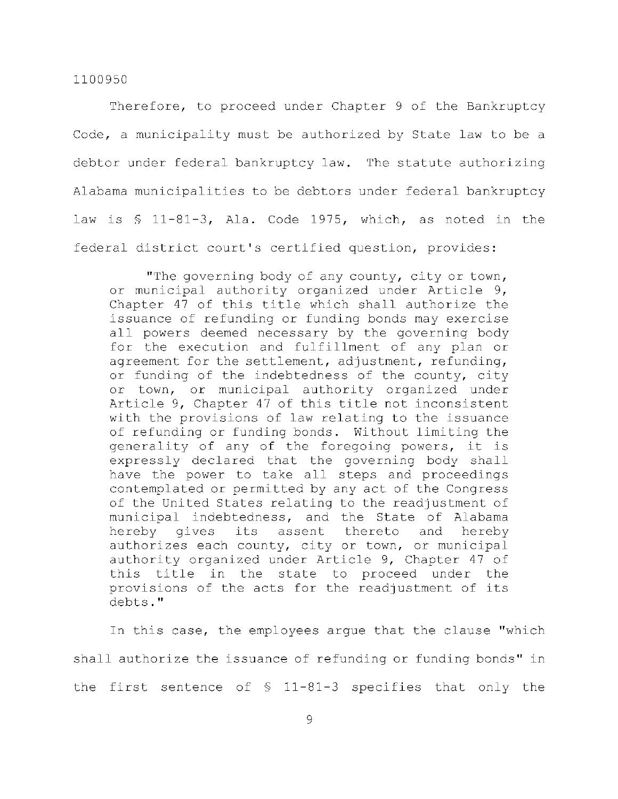Therefore, to proceed under Chapter 9 of the Bankruptcy Code, a municipality must be authorized by State law to be a debtor under federal bankruptcy law. The statute authorizing Alabama municipalities to be debtors under federal bankruptcy law is  $$ 11-81-3$ , Ala. Code 1975, which, as noted in the federal district court's certified question, provides:

"The governing body of any county, city or town, or municipal authority organized under Article 9, Chapter 47 of this title which shall authorize the issuance of refunding or funding bonds may exercise all powers deemed necessary by the governing body for the execution and fulfillment of any plan or agreement for the settlement, adjustment, refunding, or funding of the indebtedness of the county, city or town, or municipal authority organized under Article 9, Chapter 47 of this title not inconsistent with the provisions of law relating to the issuance of refunding or funding bonds. Without limiting the generality of any of the foregoing powers, it is expressly declared that the governing body shall have the power to take all steps and proceedings contemplated or permitted by any act of the Congress of the United States relating to the readjustment of municipal indebtedness, and the State of Alabama hereby gives its assent thereto and hereby authorizes each county, city or town, or municipal authority organized under Article 9, Chapter 47 of this title in the state to proceed under the provisions of the acts for the readjustment of its debts. "

In this case, the employees arque that the clause "which shall authorize the issuance of refunding or funding bonds" in the first sentence of  $$$  11-81-3 specifies that only the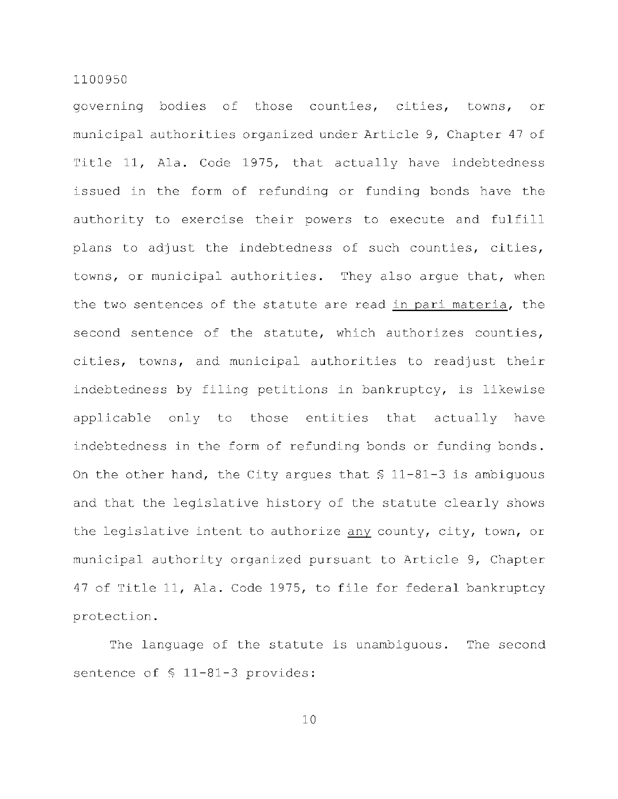governing bodies of those counties, cities, towns, or municipal authorities organized under Article 9, Chapter 47 of Title 11, Ala. Code 1975, that actually have indebtedness issued in the form of refunding or funding bonds have the authority to exercise their powers to execute and fulfill plans to adjust the indebtedness of such counties, cities, towns, or municipal authorities. They also argue that, when the two sentences of the statute are read in pari materia, the second sentence of the statute, which authorizes counties, cities, towns, and municipal authorities to readjust their indebtedness by filing petitions in bankruptcy, is likewise applicable only to those entities that actually have indebtedness in the form of refunding bonds or funding bonds. On the other hand, the City argues that  $$11-81-3$  is ambiguous and that the legislative history of the statute clearly shows the legislative intent to authorize any county, city, town, or municipal authority organized pursuant to Article 9, Chapter 47 of Title 11, Ala. Code 1975, to file for federal bankruptcy protection .

The language of the statute is unambiguous. The second sentence of  $$ 11-81-3$  provides: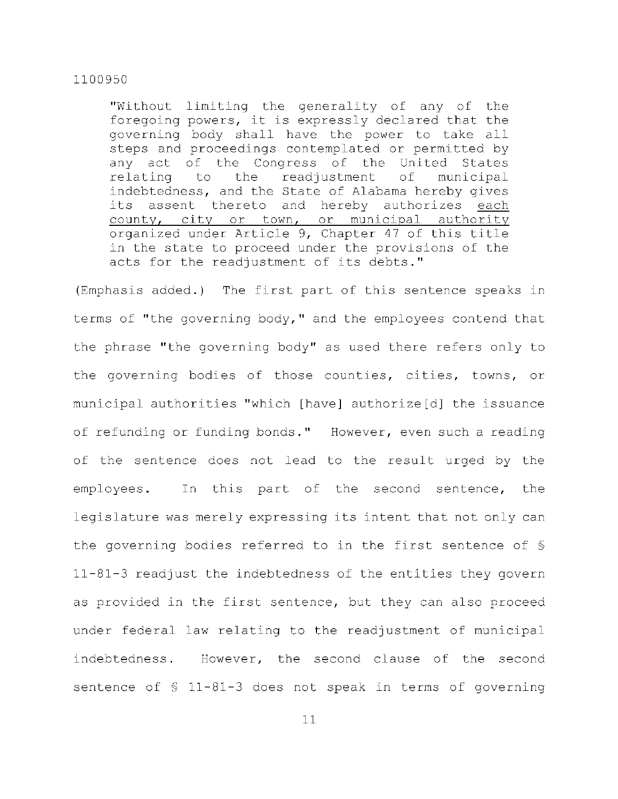"Without limiting the generality of any of the foregoing powers, it is expressly declared that the governing body shall have the power to take all steps and proceedings contemplated or permitted by any act of the Congress of the United States relating to the readjustment of municipal indebtedness, and the State of Alabama hereby gives its assent thereto and hereby authorizes each county, city or town, or municipal authority organized under Article 9, Chapter 47 of this title in the state to proceed under the provisions of the acts for the readjustment of its debts."

(Emphasis added.) The first part of this sentence speaks in terms of "the governing body," and the employees contend that the phrase "the governing body" as used there refers only to the governing bodies of those counties, cities, towns, or municipal authorities "which [have] authorize[d] the issuance of refunding or funding bonds." However, even such a reading of the sentence does not lead to the result urged by the employees. In this part of the second sentence, the legislature was merely expressing its intent that not only can the governing bodies referred to in the first sentence of  $\delta$  $11-81-3$  readjust the indebtedness of the entities they govern as provided in the first sentence, but they can also proceed under federal law relating to the readjustment of municipal indebtedness. However, the second clause of the second sentence of  $$ 11-81-3$  does not speak in terms of governing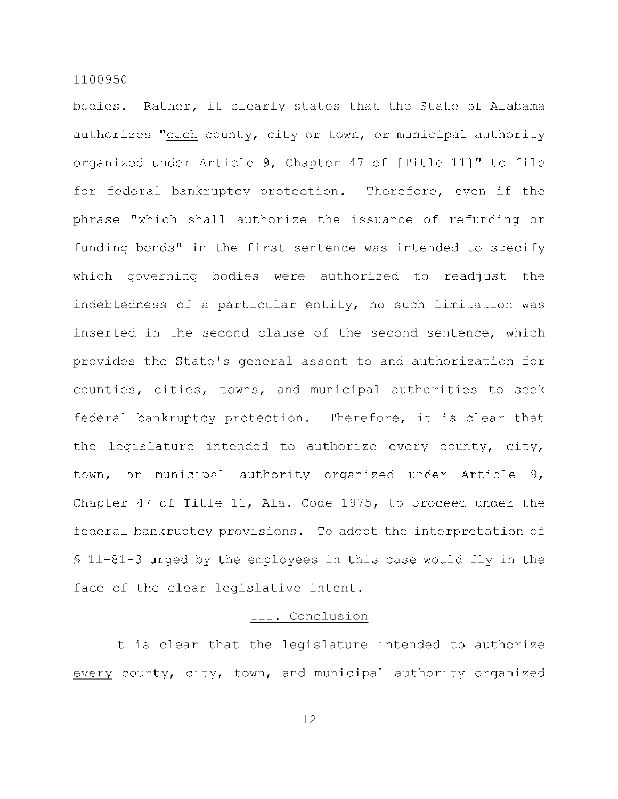bodies. Rather, it clearly states that the State of Alabama authorizes "each county, city or town, or municipal authority organized under Article 9, Chapter 47 of [Title 11]" to file for federal bankruptcy protection. Therefore, even if the phrase "which shall authorize the issuance of refunding or funding bonds" in the first sentence was intended to specify which governing bodies were authorized to readjust the indebtedness of a particular entity, no such limitation was inserted in the second clause of the second sentence, which provides the State's general assent to and authorization for counties, cities, towns, and municipal authorities to seek federal bankruptcy protection. Therefore, it is clear that the legislature intended to authorize every county, city, town, or municipal authority organized under Article 9, Chapter 47 of Title 11, Ala. Code 1975, to proceed under the federal bankruptcy provisions. To adopt the interpretation of  $$11-81-3$  urged by the employees in this case would fly in the face of the clear legislative intent.

## III. Conclusion

It is clear that the legislature intended to authorize every county, city, town, and municipal authority organized